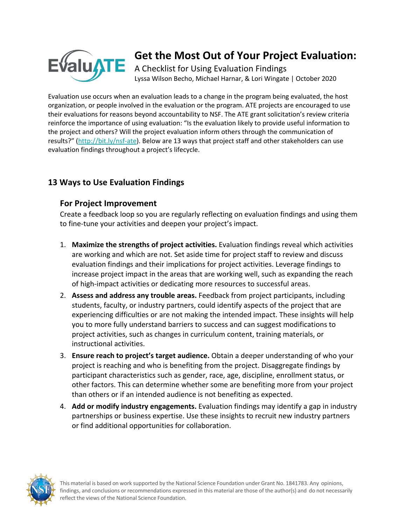

# **Get the Most Out of Your Project Evaluation:**

A Checklist for Using Evaluation Findings Lyssa Wilson Becho, Michael Harnar, & Lori Wingate | October 2020

Evaluation use occurs when an evaluation leads to a change in the program being evaluated, the host organization, or people involved in the evaluation or the program. ATE projects are encouraged to use their evaluations for reasons beyond accountability to NSF. The ATE grant solicitation's review criteria reinforce the importance of using evaluation: "Is the evaluation likely to provide useful information to the project and others? Will the project evaluation inform others through the communication of results?" (http://bit.ly/nsf-ate). Below are 13 ways that project staff and other stakeholders can use evaluation findings throughout a project's lifecycle.

## **13 Ways to Use Evaluation Findings**

#### **For Project Improvement**

Create a feedback loop so you are regularly reflecting on evaluation findings and using them to fine-tune your activities and deepen your project's impact.

- 1. **Maximize the strengths of project activities.** Evaluation findings reveal which activities are working and which are not. Set aside time for project staff to review and discuss evaluation findings and their implications for project activities. Leverage findings to increase project impact in the areas that are working well, such as expanding the reach of high-impact activities or dedicating more resources to successful areas.
- 2. **Assess and address any trouble areas.** Feedback from project participants, including students, faculty, or industry partners, could identify aspects of the project that are experiencing difficulties or are not making the intended impact. These insights will help you to more fully understand barriers to success and can suggest modifications to project activities, such as changes in curriculum content, training materials, or instructional activities.
- 3. **Ensure reach to project's target audience.** Obtain a deeper understanding of who your project is reaching and who is benefiting from the project. Disaggregate findings by participant characteristics such as gender, race, age, discipline, enrollment status, or other factors. This can determine whether some are benefiting more from your project than others or if an intended audience is not benefiting as expected.
- 4. **Add or modify industry engagements.** Evaluation findings may identify a gap in industry partnerships or business expertise. Use these insights to recruit new industry partners or find additional opportunities for collaboration.

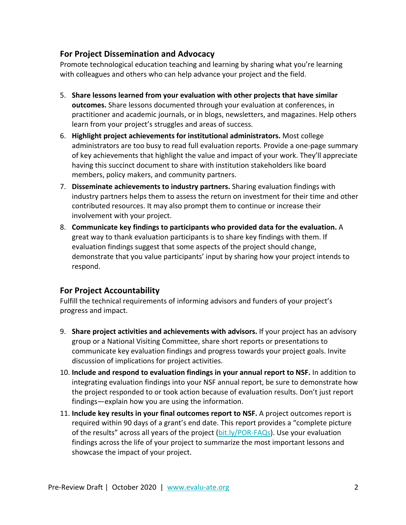#### **For Project Dissemination and Advocacy**

Promote technological education teaching and learning by sharing what you're learning with colleagues and others who can help advance your project and the field.

- 5. **Share lessons learned from your evaluation with other projects that have similar outcomes.** Share lessons documented through your evaluation at conferences, in practitioner and academic journals, or in blogs, newsletters, and magazines. Help others learn from your project's struggles and areas of success.
- 6. **Highlight project achievements for institutional administrators.** Most college administrators are too busy to read full evaluation reports. Provide a one-page summary of key achievements that highlight the value and impact of your work. They'll appreciate having this succinct document to share with institution stakeholders like board members, policy makers, and community partners.
- 7. **Disseminate achievements to industry partners.** Sharing evaluation findings with industry partners helps them to assess the return on investment for their time and other contributed resources. It may also prompt them to continue or increase their involvement with your project.
- 8. **Communicate key findings to participants who provided data for the evaluation.** A great way to thank evaluation participants is to share key findings with them. If evaluation findings suggest that some aspects of the project should change, demonstrate that you value participants' input by sharing how your project intends to respond.

### **For Project Accountability**

Fulfill the technical requirements of informing advisors and funders of your project's progress and impact.

- 9. **Share project activities and achievements with advisors.** If your project has an advisory group or a National Visiting Committee, share short reports or presentations to communicate key evaluation findings and progress towards your project goals. Invite discussion of implications for project activities.
- 10. **Include and respond to evaluation findings in your annual report to NSF.** In addition to integrating evaluation findings into your NSF annual report, be sure to demonstrate how the project responded to or took action because of evaluation results. Don't just report findings—explain how you are using the information.
- 11. **Include key results in your final outcomes report to NSF.** A project outcomes report is required within 90 days of a grant's end date. This report provides a "complete picture of the results" across all years of the project ( $bit.$   $ly/POR-FAQs$ ). Use your evaluation findings across the life of your project to summarize the most important lessons and showcase the impact of your project.